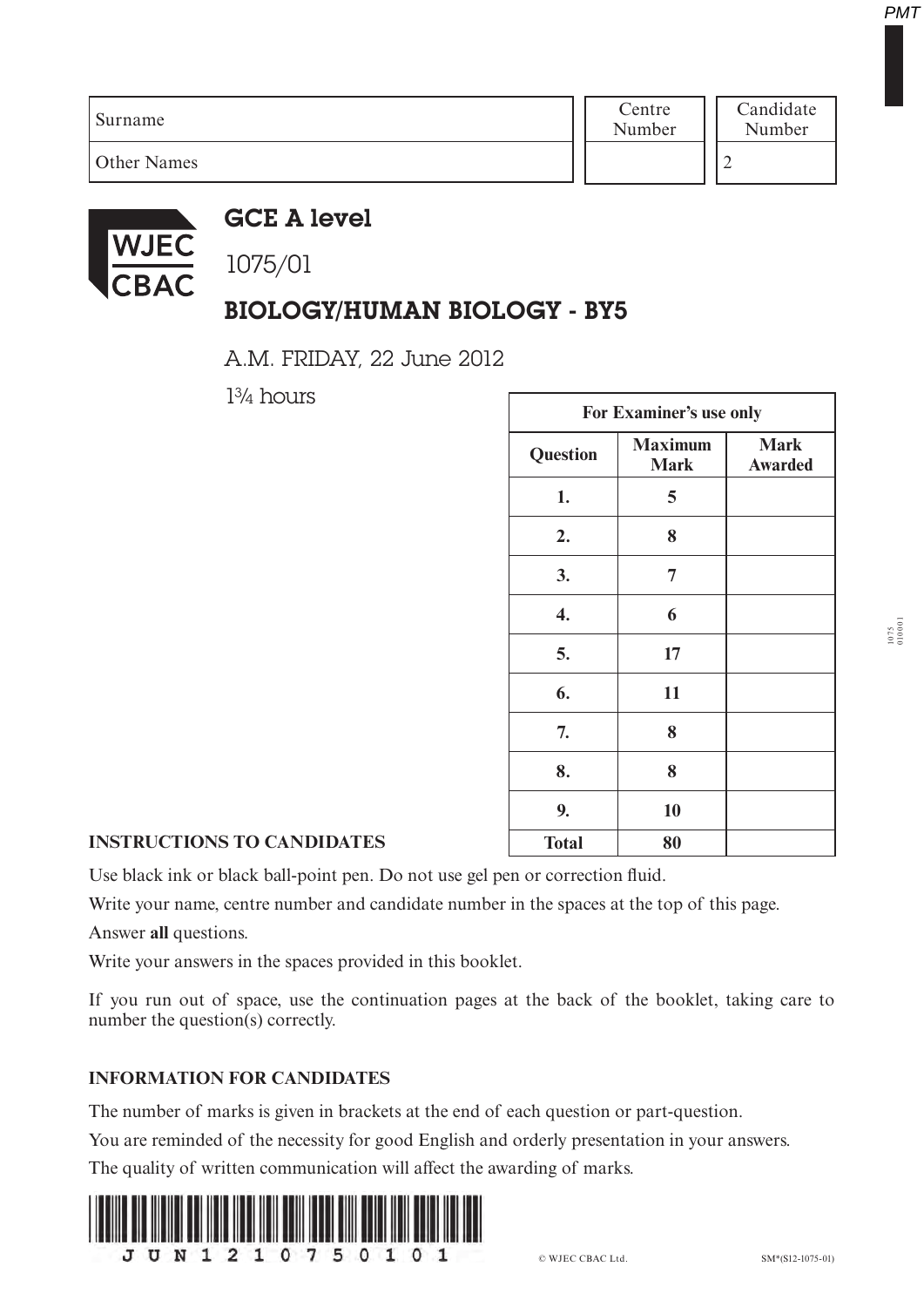Surname

Centre Number

Other Names



GCE A level

1075/01

#### BIOLOGY/HUMAN BIOLOGY - BY5

A.M. FRIDAY, 22 June 2012

1¾ hours

| For Examiner's use only |                               |                               |  |  |  |
|-------------------------|-------------------------------|-------------------------------|--|--|--|
| <b>Question</b>         | <b>Maximum</b><br><b>Mark</b> | <b>Mark</b><br><b>Awarded</b> |  |  |  |
| 1.                      | 5                             |                               |  |  |  |
| 2.                      | 8                             |                               |  |  |  |
| 3.                      | 7                             |                               |  |  |  |
| 4.                      | 6                             |                               |  |  |  |
| 5.                      | 17                            |                               |  |  |  |
| 6.                      | 11                            |                               |  |  |  |
| 7.                      | 8                             |                               |  |  |  |
| 8.                      | 8                             |                               |  |  |  |
| 9.                      | 10                            |                               |  |  |  |
| <b>Total</b>            | 80                            |                               |  |  |  |

#### **INSTRUCTIONS TO CANDIDATES**

Use black ink or black ball-point pen. Do not use gel pen or correction fluid.

Write your name, centre number and candidate number in the spaces at the top of this page.

Answer **all** questions.

Write your answers in the spaces provided in this booklet.

If you run out of space, use the continuation pages at the back of the booklet, taking care to number the question(s) correctly.

#### **INFORMATION FOR CANDIDATES**

The number of marks is given in brackets at the end of each question or part-question.

You are reminded of the necessity for good English and orderly presentation in your answers.

The quality of written communication will affect the awarding of marks.

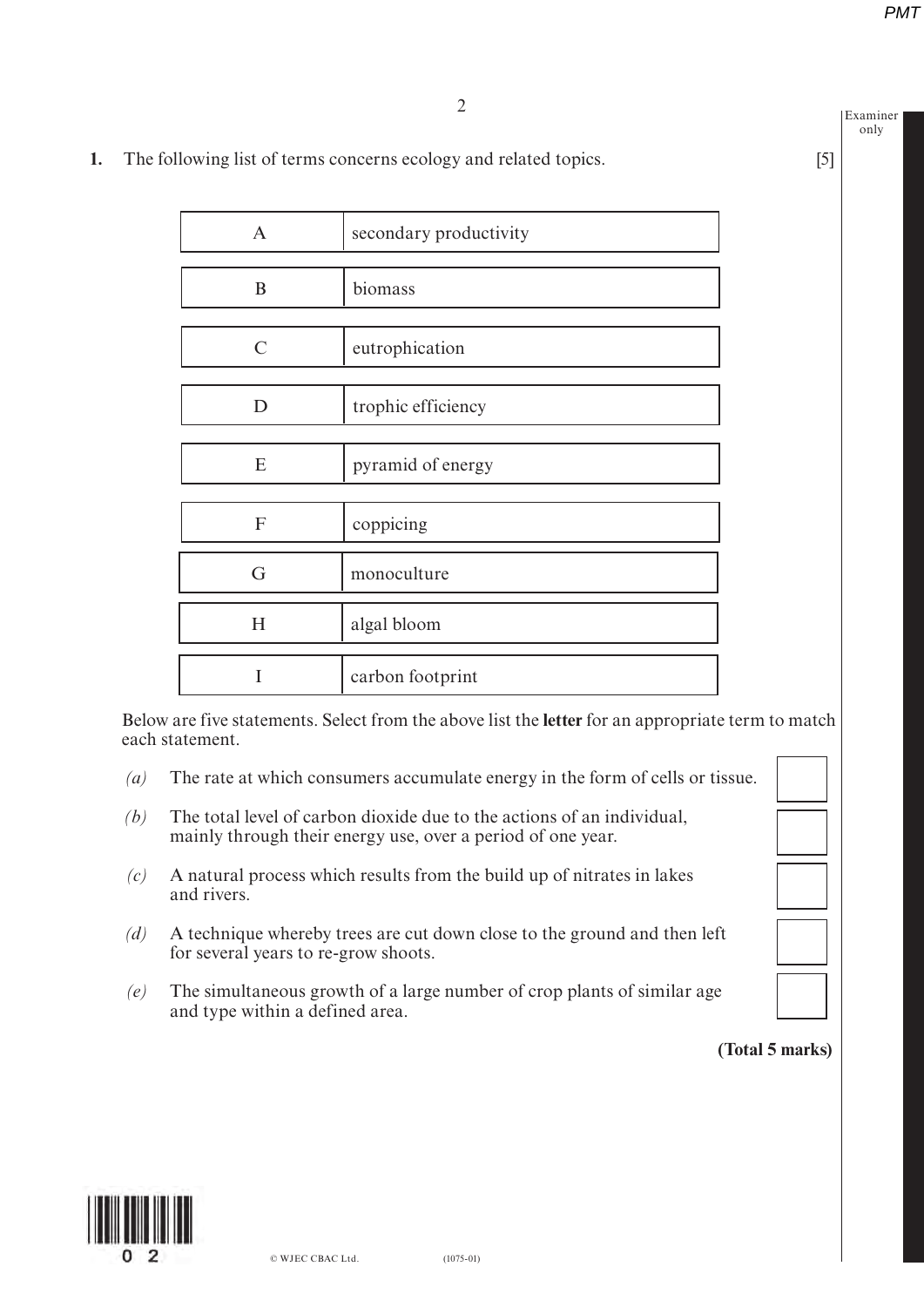| 1. |                           | 2<br>The following list of terms concerns ecology and related topics. | Examiner<br>only<br>$[5]$ |
|----|---------------------------|-----------------------------------------------------------------------|---------------------------|
|    | $\mathbf{A}$              | secondary productivity                                                |                           |
|    | $\bf{B}$                  | biomass                                                               |                           |
|    | $\mathbf C$               | eutrophication                                                        |                           |
|    | D                         | trophic efficiency                                                    |                           |
|    | ${\bf E}$                 | pyramid of energy                                                     |                           |
|    | $\boldsymbol{\mathrm{F}}$ | coppicing                                                             |                           |
|    | $\mathbf G$               | monoculture                                                           |                           |
|    | $\boldsymbol{\mathrm{H}}$ | algal bloom                                                           |                           |
|    | I                         | carbon footprint                                                      |                           |

Below are five statements. Select from the above list the **letter** for an appropriate term to match each statement.

- *(a)* The rate at which consumers accumulate energy in the form of cells or tissue.
- *(b)* The total level of carbon dioxide due to the actions of an individual, mainly through their energy use, over a period of one year.
- *(c)* A natural process which results from the build up of nitrates in lakes and rivers.
- *(d)* A technique whereby trees are cut down close to the ground and then left for several years to re-grow shoots.
- *(e)* The simultaneous growth of a large number of crop plants of similar age and type within a defined area.





© WJEC CBAC Ltd.

 **(Total 5 marks)**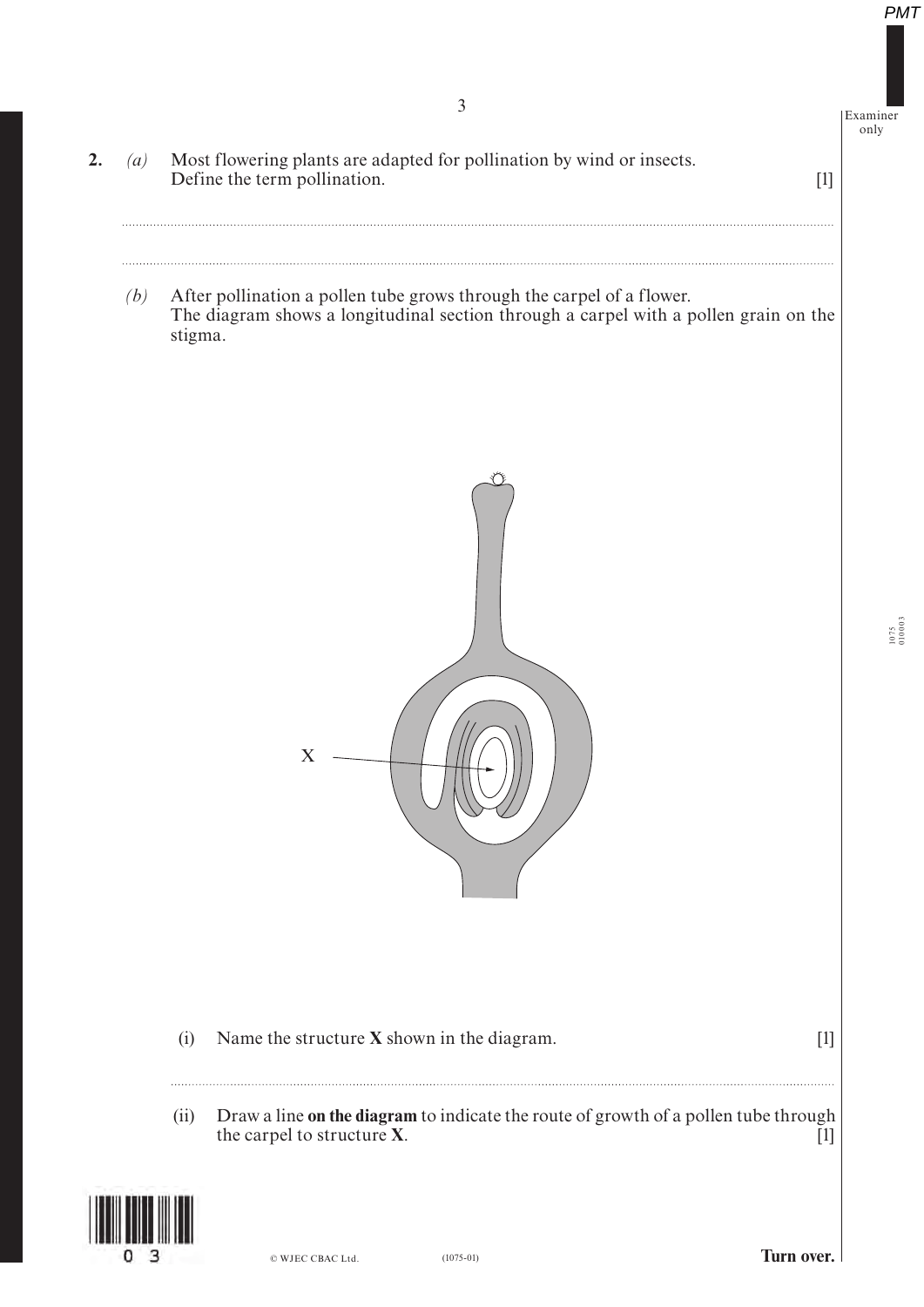*PMT*3 Examiner only **2.** *(a)* Most flowering plants are adapted for pollination by wind or insects. Define the term pollination. [1] *(b)* After pollination a pollen tube grows through the carpel of a flower. The diagram shows a longitudinal section through a carpel with a pollen grain on the stigma. 1075 010003 X (i) Name the structure **X** shown in the diagram. [1] (ii) Draw a line **on the diagram** to indicate the route of growth of a pollen tube through the carpel to structure **X**. the carpel to structure  $\bf{X}$ .

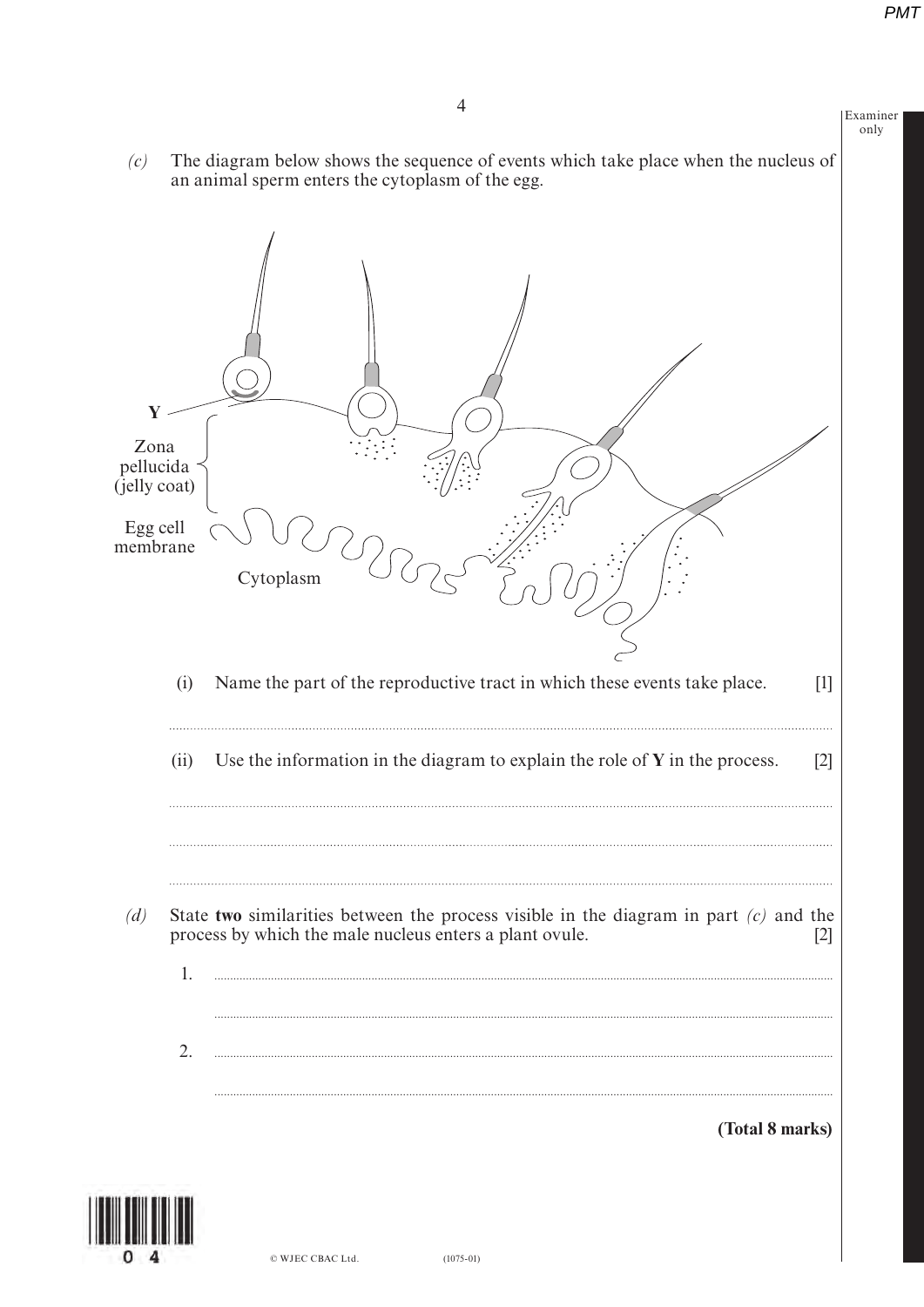Examiner only

*(c)* The diagram below shows the sequence of events which take place when the nucleus of an animal sperm enters the cytoplasm of the egg.



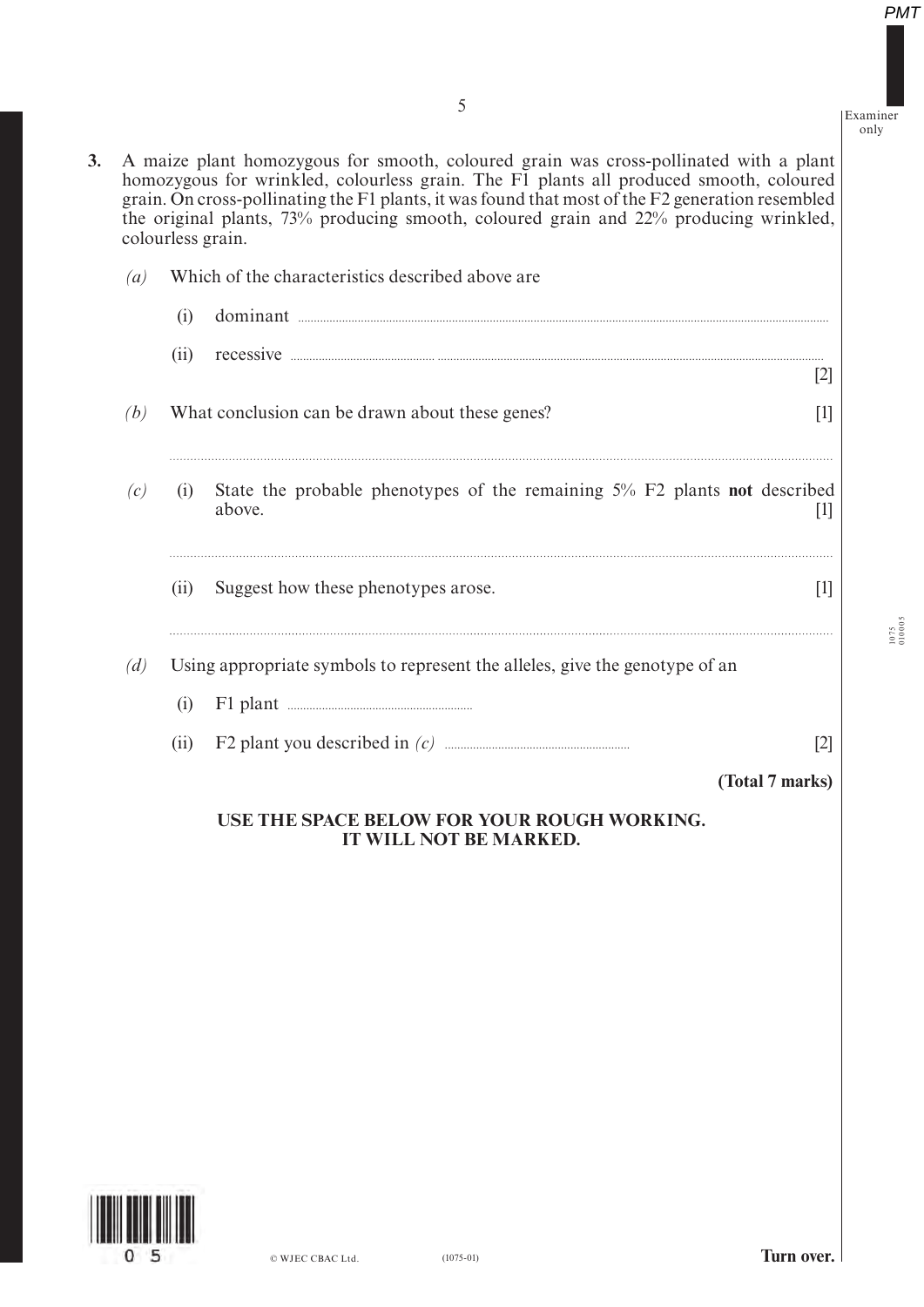only

1075 010005

- **3.** A maize plant homozygous for smooth, coloured grain was cross-pollinated with a plant homozygous for wrinkled, colourless grain. The FI plants all produced smooth, coloured grain. On cross-pollinating the F1 plants, it was found that most of the F2 generation resembled the original plants, 73% producing smooth, coloured grain and 22% producing wrinkled, colourless grain.
	- *(a)* Which of the characteristics described above are (i) dominant **.........................................................................................................................................................................** (ii) recessive **.............................................. ...........................................................................................................................** [2] *(b)* What conclusion can be drawn about these genes? [1] *(c)* (i) State the probable phenotypes of the remaining 5% F2 plants **not** described above. [1] (ii) Suggest how these phenotypes arose. [1] *(d)* Using appropriate symbols to represent the alleles, give the genotype of an (i) F1 plant **...........................................................** (ii) F2 plant you described in *(c)* **...........................................................** [2] **(Total 7 marks)**

#### **USE THE SPACE BELOW FOR YOUR ROUGH WORKING. IT WILL NOT BE MARKED.**

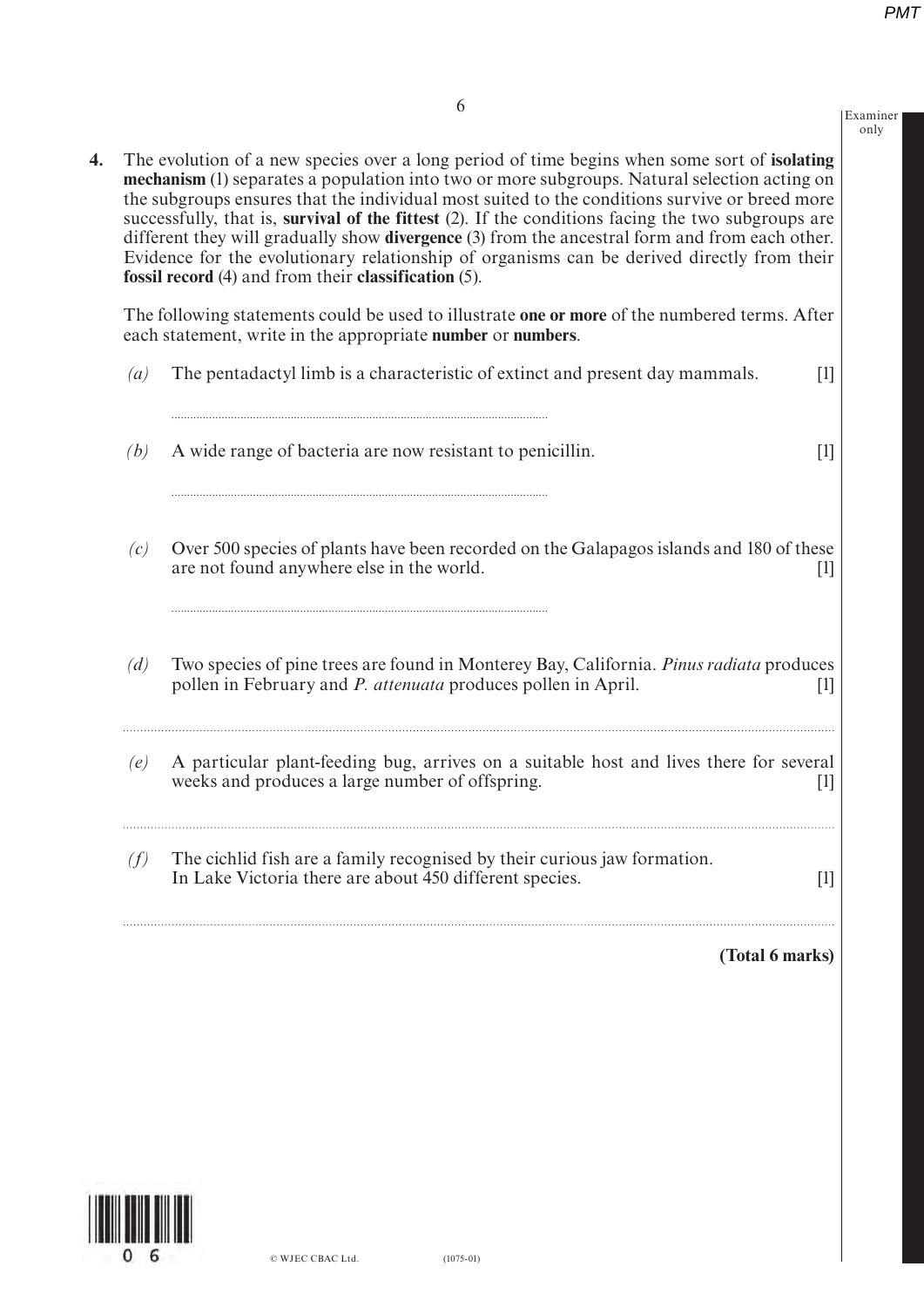Examiner only

**4.** The evolution of a new species over a long period of time begins when some sort of **isolating mechanism** (1) separates a population into two or more subgroups. Natural selection acting on the subgroups ensures that the individual most suited to the conditions survive or breed more successfully, that is, **survival of the fittest** (2). If the conditions facing the two subgroups are different they will gradually show **divergence** (3) from the ancestral form and from each other. Evidence for the evolutionary relationship of organisms can be derived directly from their **fossil record** (4) and from their **classification** (5).

The following statements could be used to illustrate **one or more** of the numbered terms. After each statement, write in the appropriate **number** or **numbers**.

- *(a)* The pentadactyl limb is a characteristic of extinct and present day mammals. [1]
- **........................................................................................................................** *(b)* A wide range of bacteria are now resistant to penicillin. [1]  **........................................................................................................................** *(c)* Over 500 species of plants have been recorded on the Galapagos islands and 180 of these are not found anywhere else in the world. [1]  **........................................................................................................................** *(d)* Two species of pine trees are found in Monterey Bay, California. *Pinus radiata* produces pollen in February and *P. attenuata* produces pollen in April. [1] *(e)* A particular plant-feeding bug, arrives on a suitable host and lives there for several weeks and produces a large number of offspring. [1] *(f)* The cichlid fish are a family recognised by their curious jaw formation. In Lake Victoria there are about 450 different species. [1] **(Total 6 marks)**

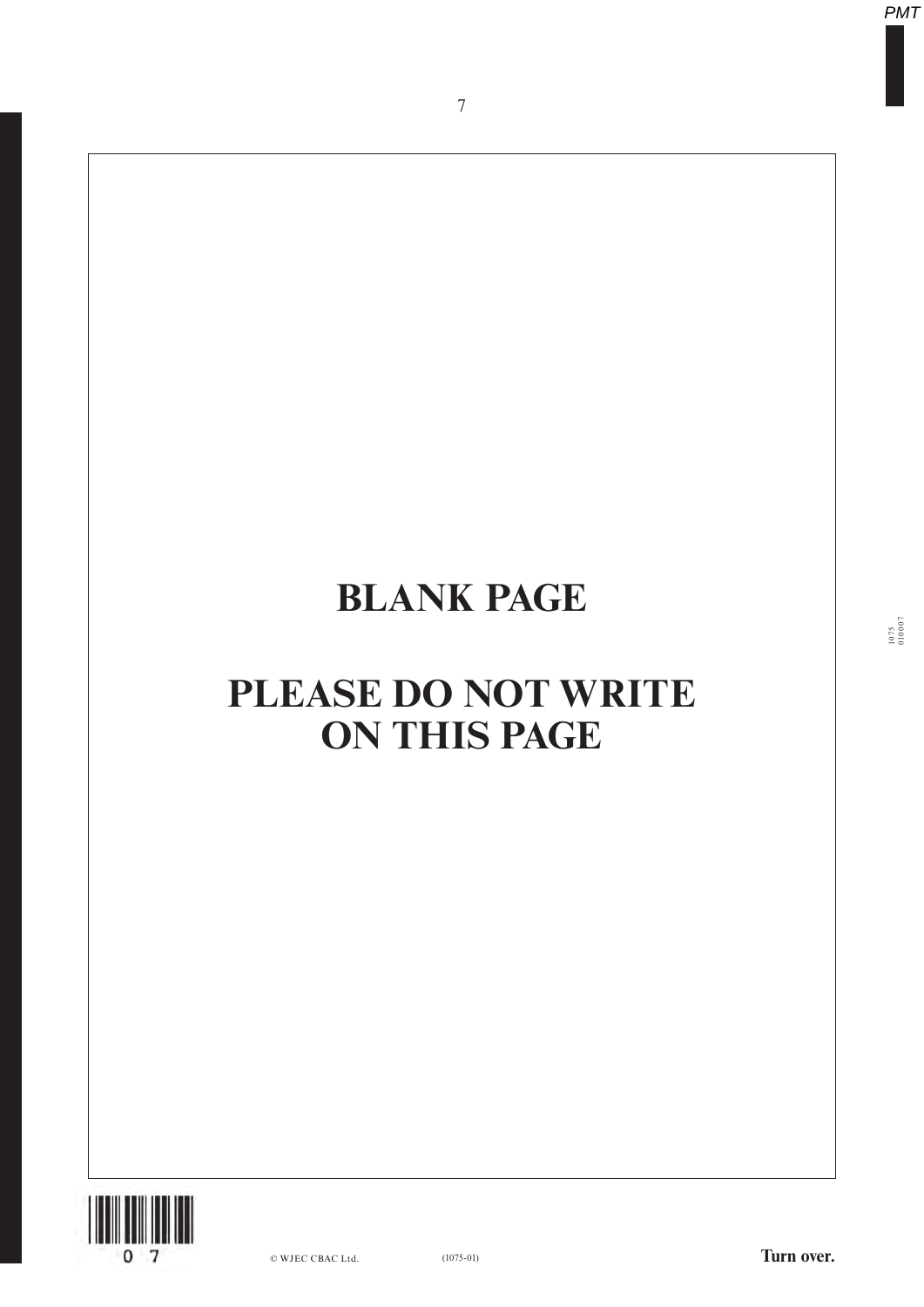1075 010007

7

### **PLEASE DO NOT WRITE ON THIS PAGE**



© WJEC CBAC Ltd.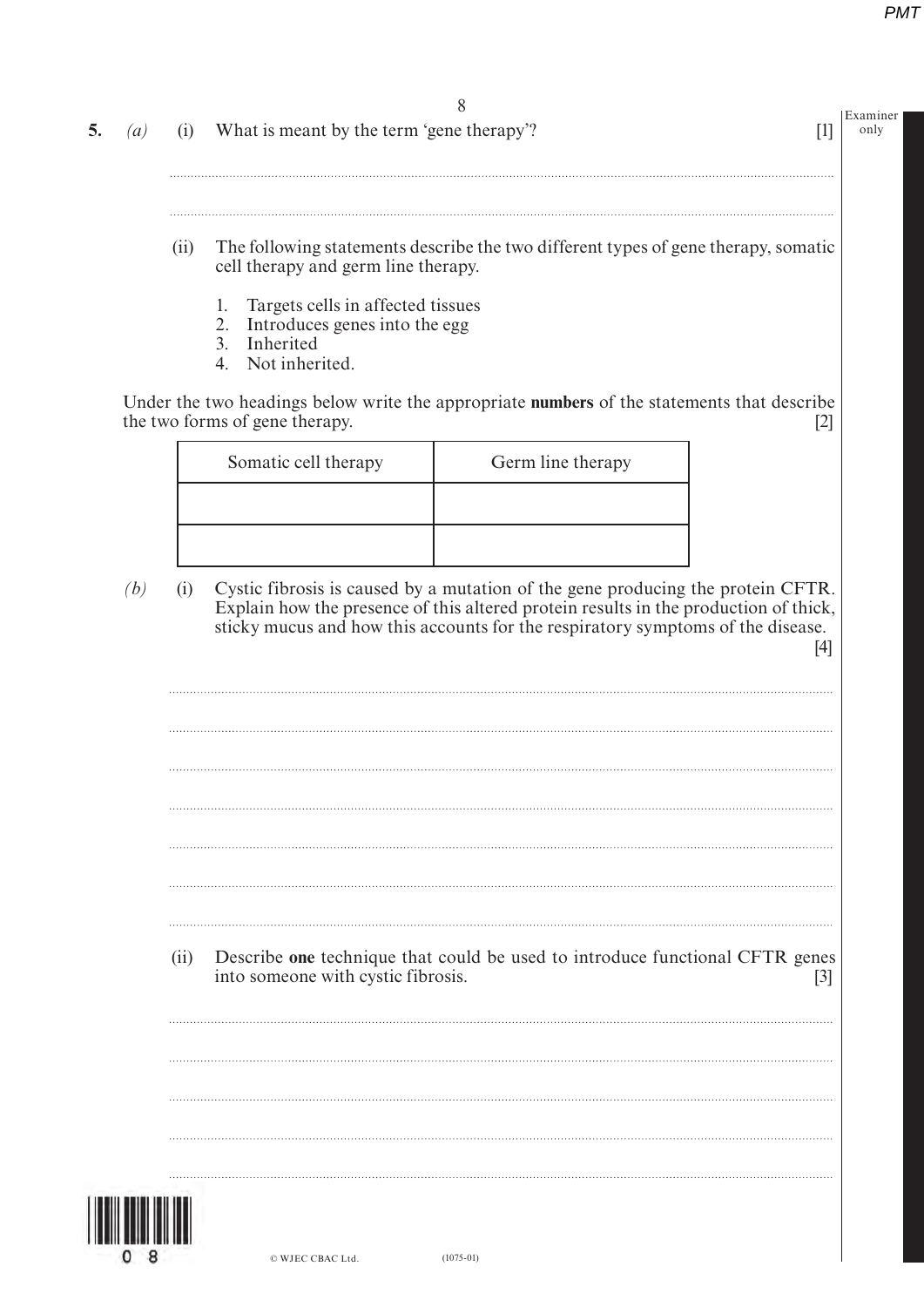| $\left( a\right)$ | (i)  | 8<br>What is meant by the term 'gene therapy'?<br>Ш                                                                                                                                                                                                                 | Examiner<br>only |
|-------------------|------|---------------------------------------------------------------------------------------------------------------------------------------------------------------------------------------------------------------------------------------------------------------------|------------------|
|                   | (ii) | The following statements describe the two different types of gene therapy, somatic<br>cell therapy and germ line therapy.                                                                                                                                           |                  |
|                   |      | Targets cells in affected tissues<br>1.<br>2.<br>Introduces genes into the egg<br>3. Inherited<br>4. Not inherited.                                                                                                                                                 |                  |
|                   |      | Under the two headings below write the appropriate numbers of the statements that describe<br>the two forms of gene therapy.<br>$[2]$                                                                                                                               |                  |
|                   |      | Somatic cell therapy<br>Germ line therapy                                                                                                                                                                                                                           |                  |
|                   |      |                                                                                                                                                                                                                                                                     |                  |
| (b)               | (i)  | Cystic fibrosis is caused by a mutation of the gene producing the protein CFTR.<br>Explain how the presence of this altered protein results in the production of thick,<br>sticky mucus and how this accounts for the respiratory symptoms of the disease.<br>$[4]$ |                  |
|                   |      |                                                                                                                                                                                                                                                                     |                  |
|                   |      |                                                                                                                                                                                                                                                                     |                  |
|                   | (i)  | Describe one technique that could be used to introduce functional CFTR genes<br>into someone with cystic fibrosis.<br>$[3]$                                                                                                                                         |                  |
|                   |      |                                                                                                                                                                                                                                                                     |                  |
|                   |      |                                                                                                                                                                                                                                                                     |                  |
|                   |      |                                                                                                                                                                                                                                                                     |                  |
|                   |      | © WJEC CBAC Ltd.<br>$(1075-01)$                                                                                                                                                                                                                                     |                  |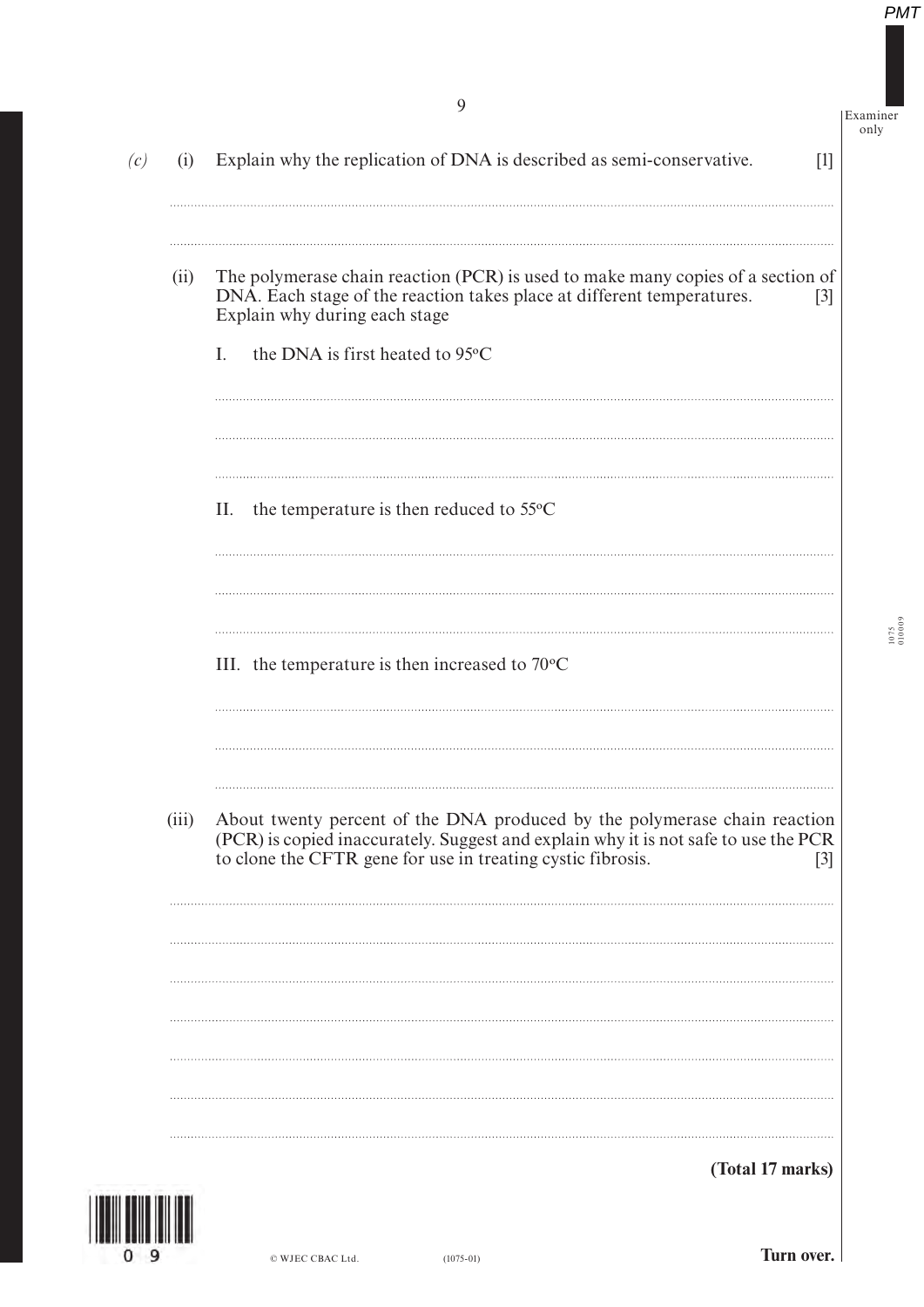1075 010009

|       | 9                                                                                                                                                                                                   | Examiner |
|-------|-----------------------------------------------------------------------------------------------------------------------------------------------------------------------------------------------------|----------|
| (i)   | Explain why the replication of DNA is described as semi-conservative.<br>$\lceil 1 \rceil$                                                                                                          |          |
| (ii)  | The polymerase chain reaction (PCR) is used to make many copies of a section of<br>DNA. Each stage of the reaction takes place at different temperatures.<br>$[3]$<br>Explain why during each stage |          |
|       | the DNA is first heated to 95°C<br>L.                                                                                                                                                               |          |
|       | the temperature is then reduced to 55°C<br>П.                                                                                                                                                       |          |
|       | III. the temperature is then increased to $70^{\circ}$ C                                                                                                                                            |          |
| (iii) | About twenty percent of the DNA produced by the polymerase chain reaction<br>(PCR) is copied inaccurately. Suggest and explain why it is not safe to use the PCR                                    |          |
|       | to clone the CFTR gene for use in treating cystic fibrosis.<br>$[3]$                                                                                                                                |          |
|       |                                                                                                                                                                                                     |          |
|       |                                                                                                                                                                                                     |          |
|       | (Total 17 marks)                                                                                                                                                                                    |          |



© WJEC CBAC Ltd.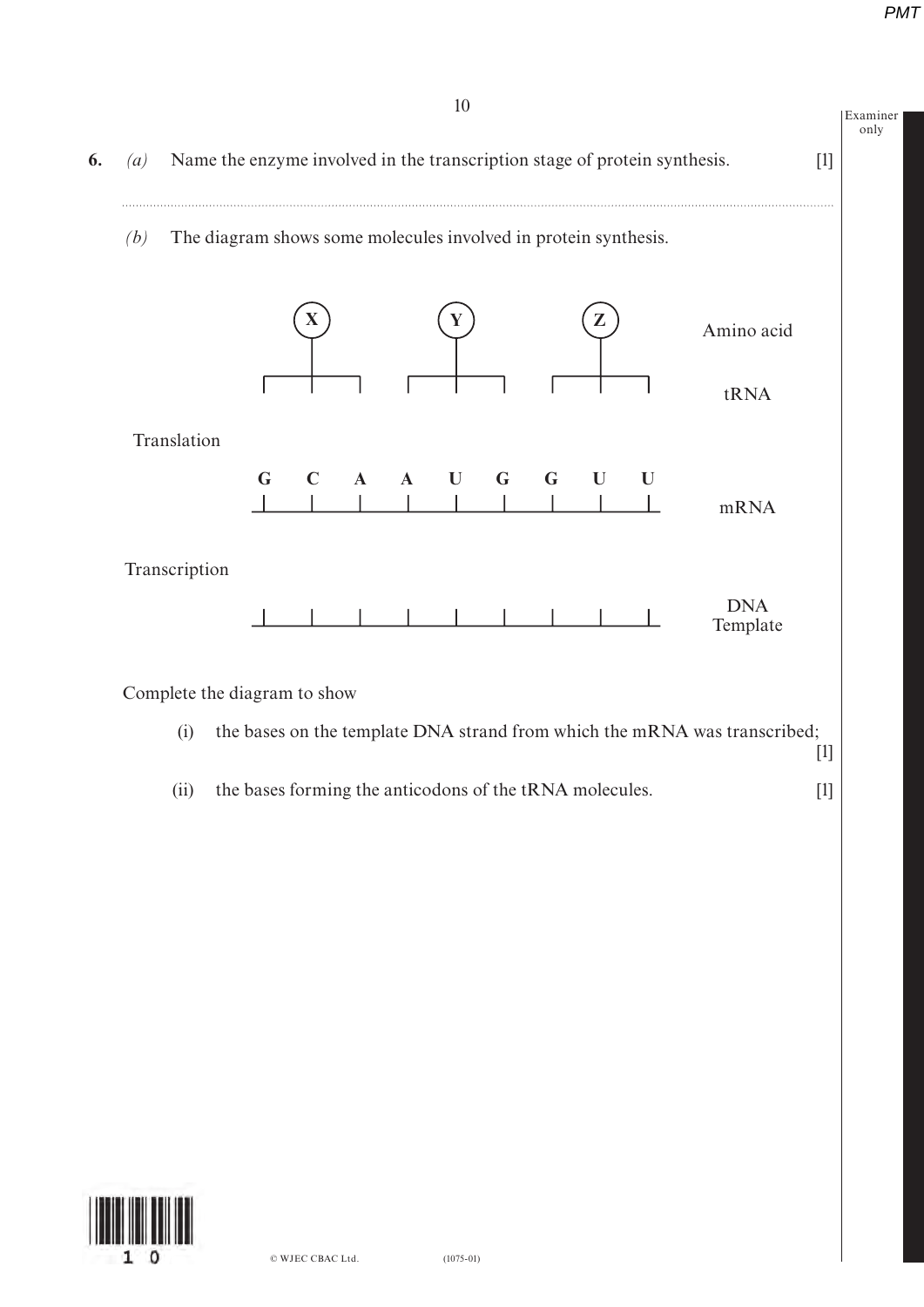

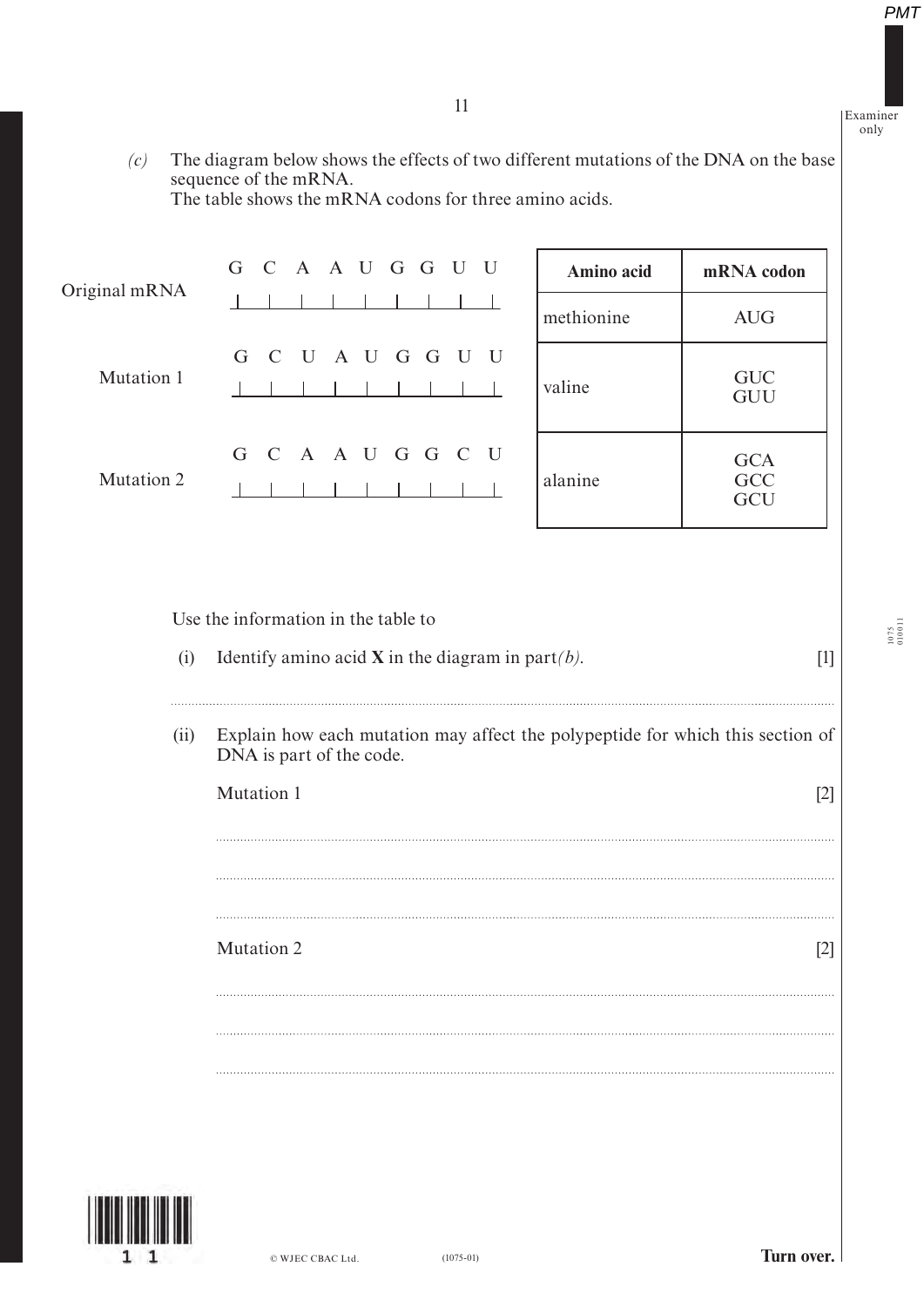only

*(c)* The diagram below shows the effects of two different mutations of the DNA on the base sequence of the mRNA. The table shows the mRNA codons for three amino acids.

| Original mRNA | G C A A U G G U U | Amino acid | mRNA codon                      |
|---------------|-------------------|------------|---------------------------------|
|               |                   | methionine | <b>AUG</b>                      |
| Mutation 1    | G C U A U G G U U | valine     | <b>GUC</b><br>GUU               |
| Mutation 2    | G C A A U G G C U | alanine    | <b>GCA</b><br><b>GCC</b><br>GCU |

Use the information in the table to

| (i)  | Identify amino acid $X$ in the diagram in part(b).                                                         | 1                 |
|------|------------------------------------------------------------------------------------------------------------|-------------------|
| (ii) | Explain how each mutation may affect the polypeptide for which this section of<br>DNA is part of the code. |                   |
|      | Mutation 1                                                                                                 | $[2]$             |
|      |                                                                                                            |                   |
|      |                                                                                                            |                   |
|      | Mutation 2                                                                                                 | $\lceil 2 \rceil$ |
|      |                                                                                                            |                   |
|      |                                                                                                            |                   |
|      |                                                                                                            |                   |



1075 010011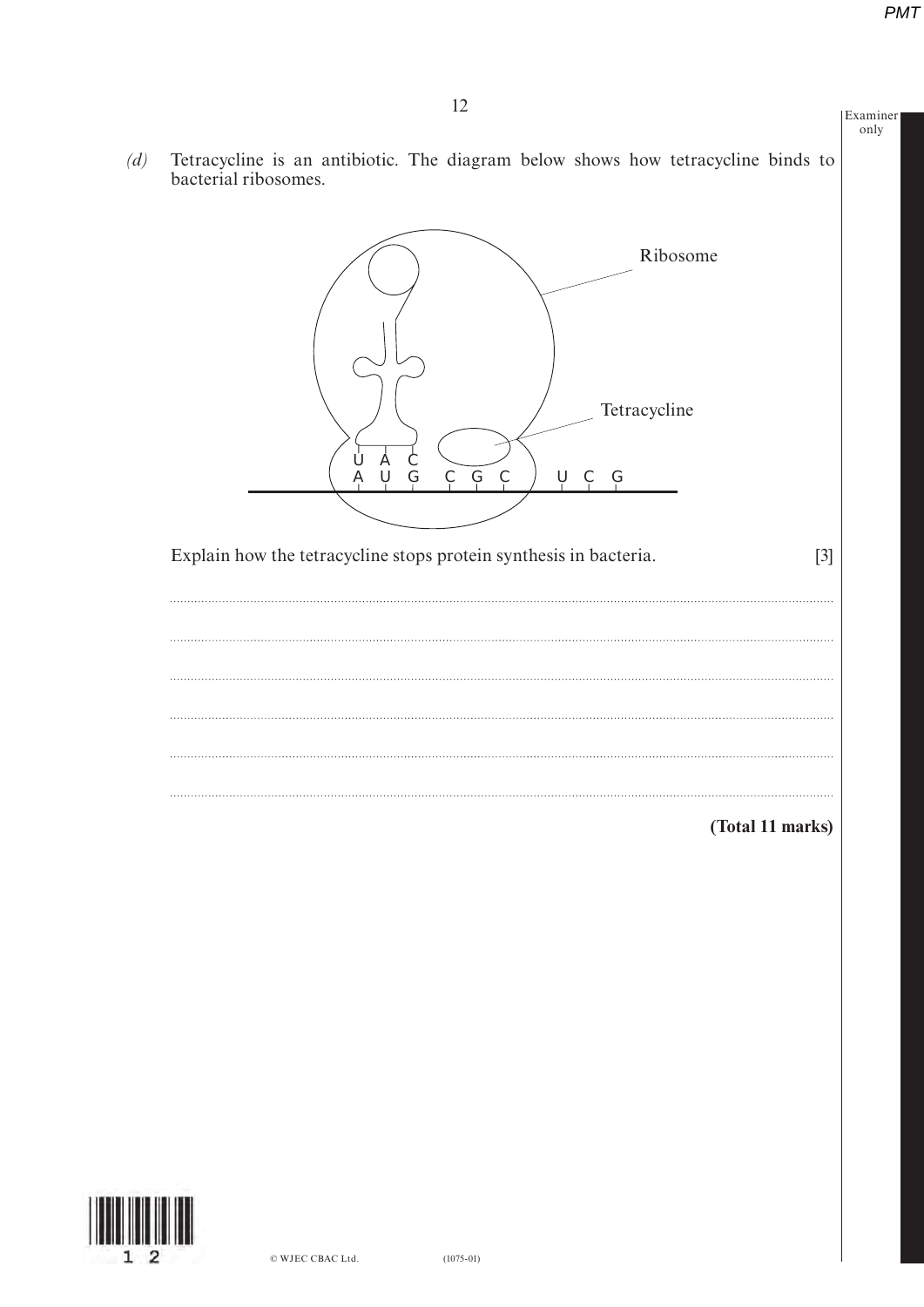Examiner only

*(d)* Tetracycline is an antibiotic. The diagram below shows how tetracycline binds to bacterial ribosomes.

Ribosome Tetracycline  $\begin{array}{cccc}\nU & A & C \\
U & A & U & G \\
A & U & G\n\end{array}$ A U G C G C U C G **Explain how the tetracycline stops protein synthesis in bacteria. [3]** 

**(Total 11 marks)**



(1075-01)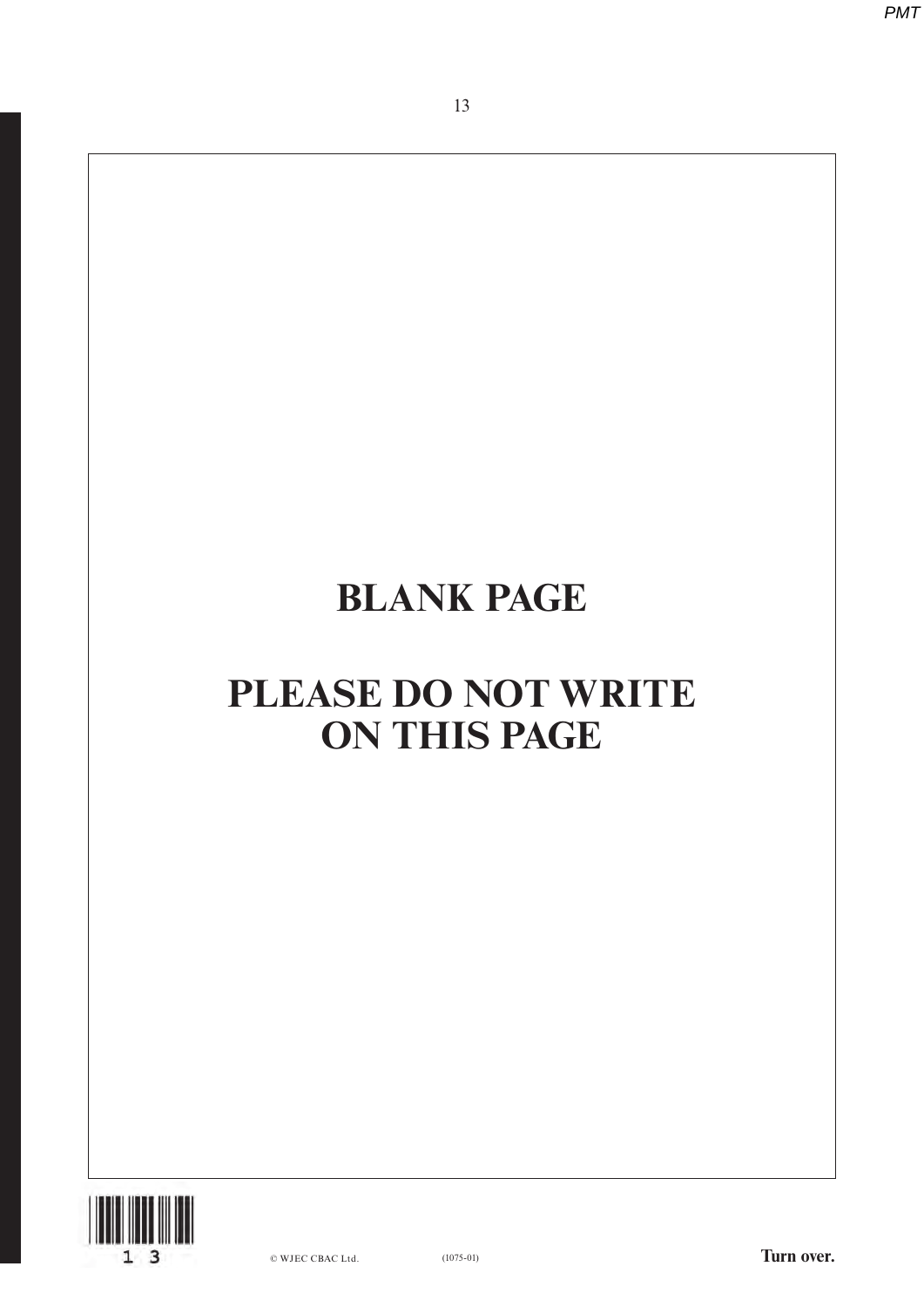# **BLANK PAGE**

### **PLEASE DO NOT WRITE ON THIS PAGE**

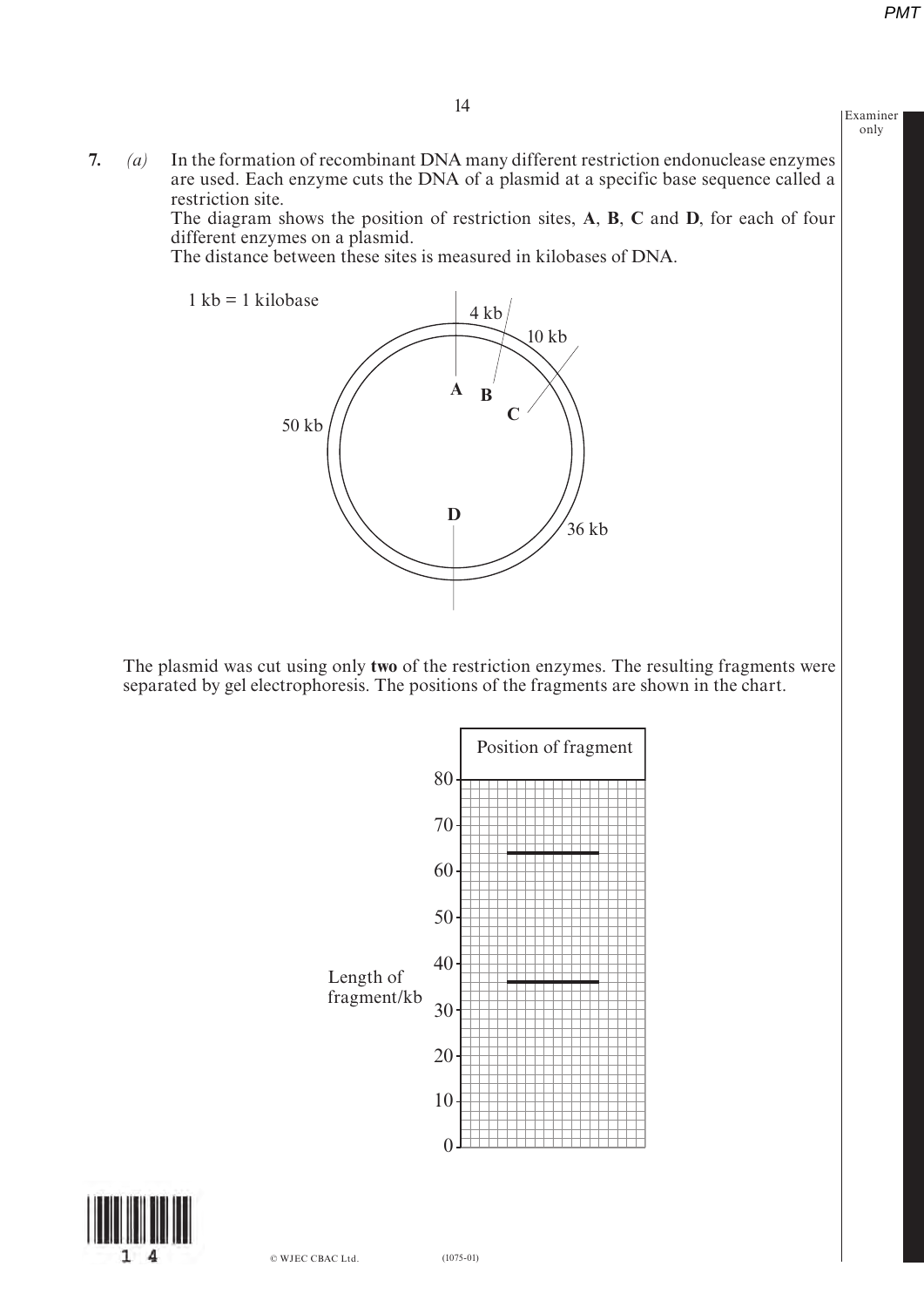only

**7.** *(a)* In the formation of recombinant DNA many different restriction endonuclease enzymes are used. Each enzyme cuts the DNA of a plasmid at a specific base sequence called a restriction site.

 The diagram shows the position of restriction sites, **A**, **B**, **C** and **D**, for each of four different enzymes on a plasmid.

The distance between these sites is measured in kilobases of DNA.



The plasmid was cut using only **two** of the restriction enzymes. The resulting fragments were separated by gel electrophoresis. The positions of the fragments are shown in the chart.



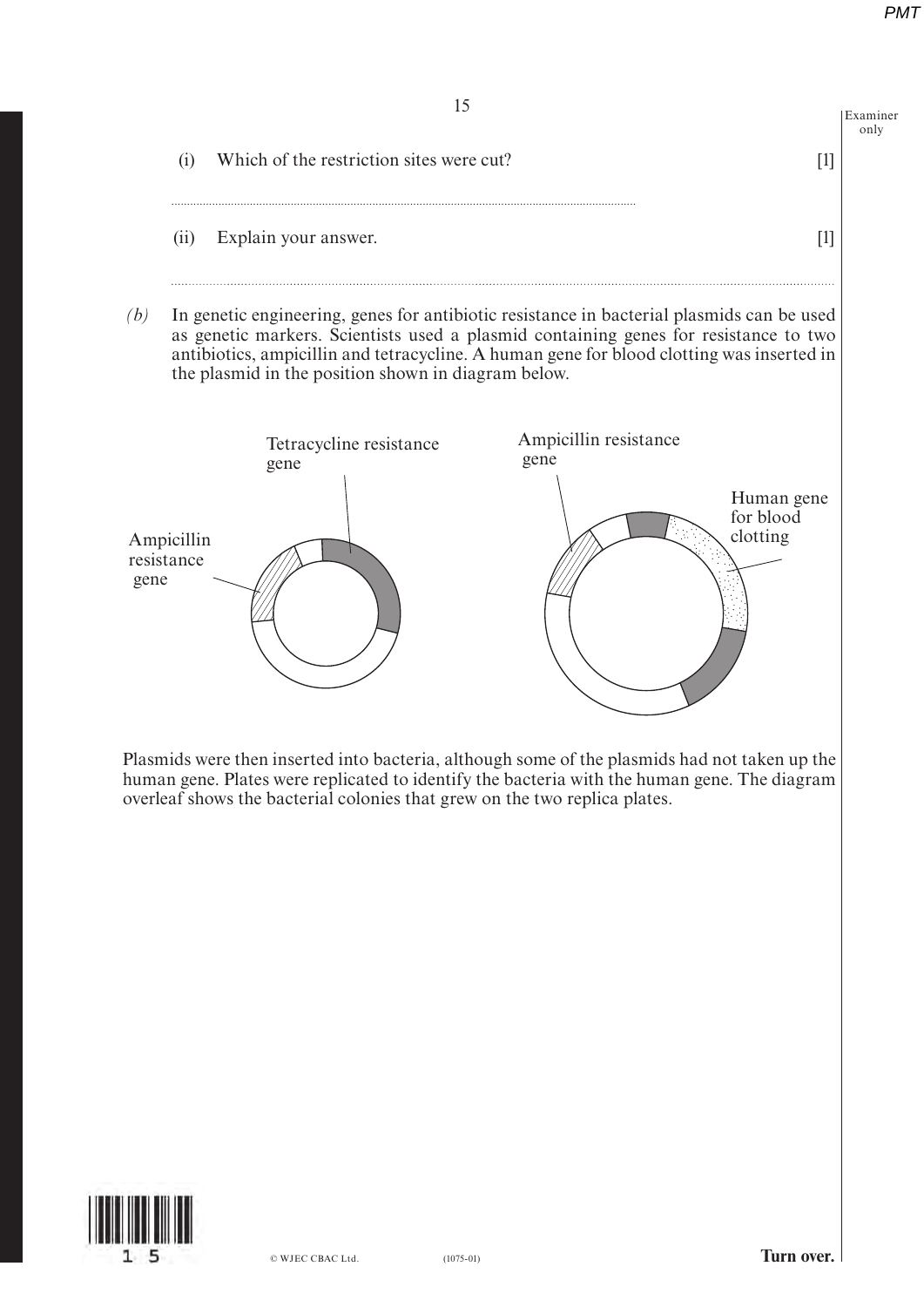

Plasmids were then inserted into bacteria, although some of the plasmids had not taken up the human gene. Plates were replicated to identify the bacteria with the human gene. The diagram overleaf shows the bacterial colonies that grew on the two replica plates.



(1075-01)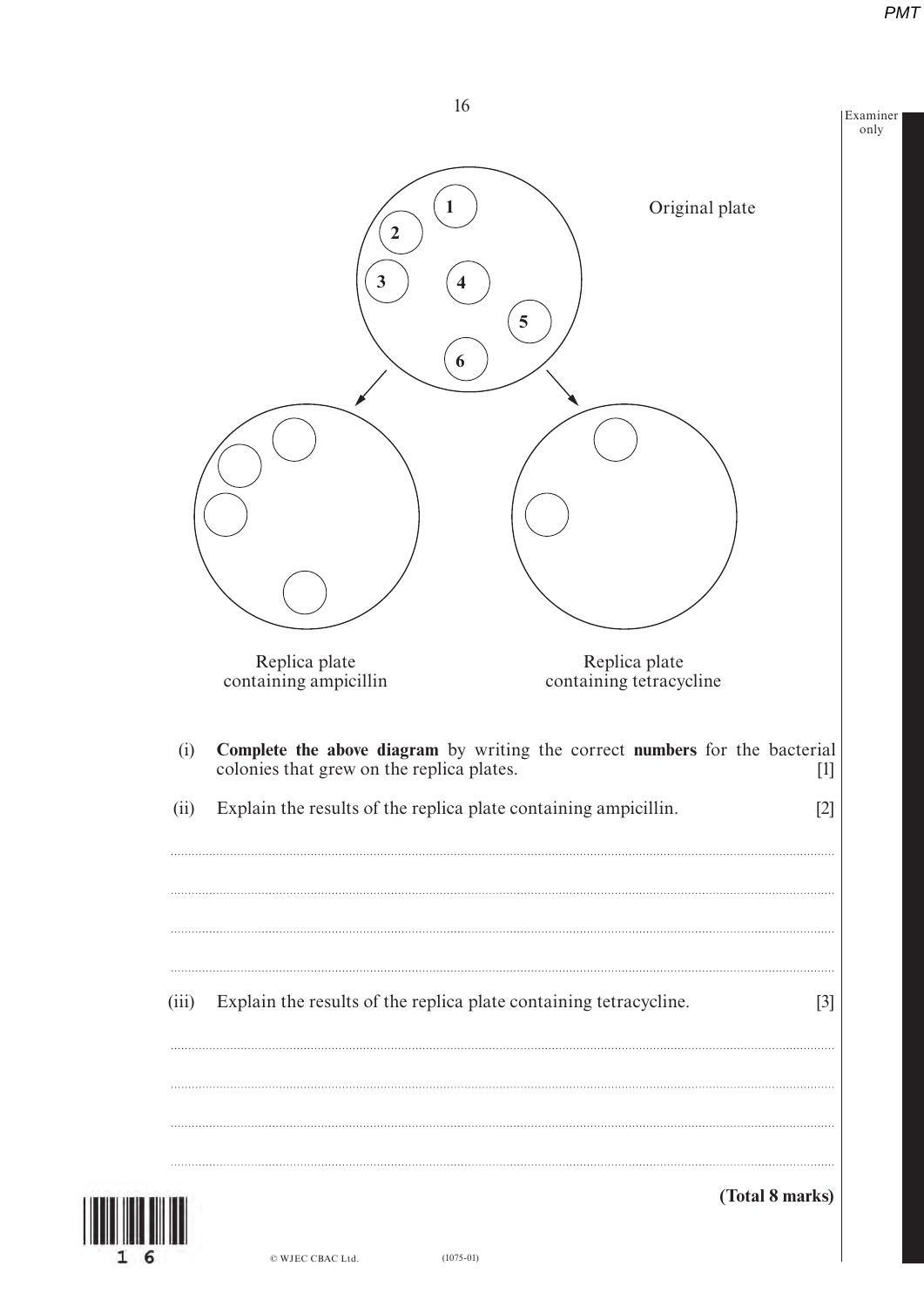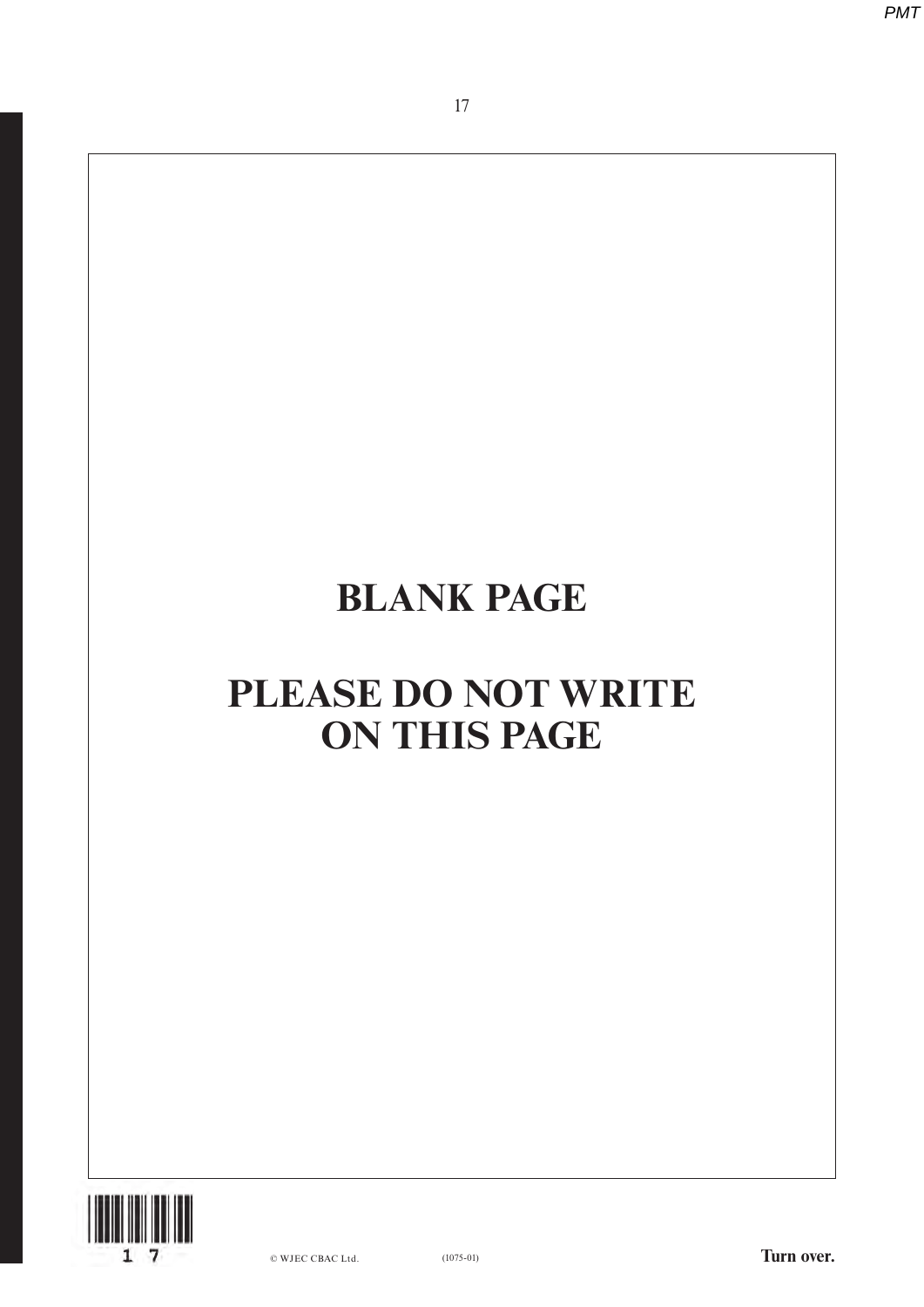# **BLANK PAGE**

### **PLEASE DO NOT WRITE ON THIS PAGE**

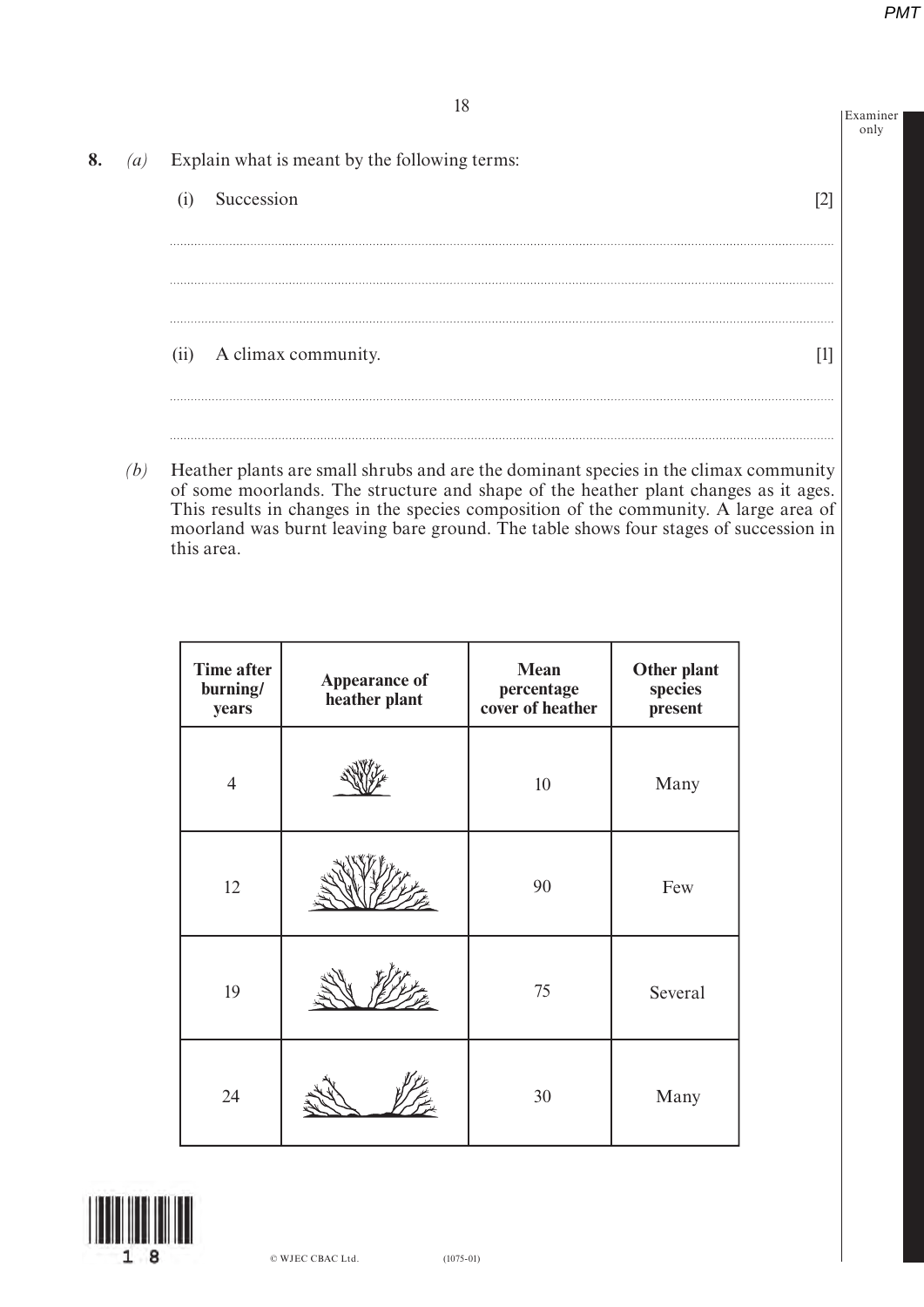only

**8.** *(a)* Explain what is meant by the following terms:

| (1) | Succession               |  |
|-----|--------------------------|--|
|     |                          |  |
|     |                          |  |
|     |                          |  |
|     | (ii) A climax community. |  |
|     |                          |  |
|     |                          |  |

*(b)* Heather plants are small shrubs and are the dominant species in the climax community of some moorlands. The structure and shape of the heather plant changes as it ages. This results in changes in the species composition of the community. A large area of moorland was burnt leaving bare ground. The table shows four stages of succession in this area.

| Time after<br>burning/<br>years | Appearance of<br>heather plant | <b>Mean</b><br>percentage<br>cover of heather | Other plant<br>species<br>present |
|---------------------------------|--------------------------------|-----------------------------------------------|-----------------------------------|
| $\overline{4}$                  |                                | 10                                            | Many                              |
| 12                              |                                | 90                                            | Few                               |
| 19                              |                                | 75                                            | Several                           |
| 24                              |                                | 30                                            | Many                              |

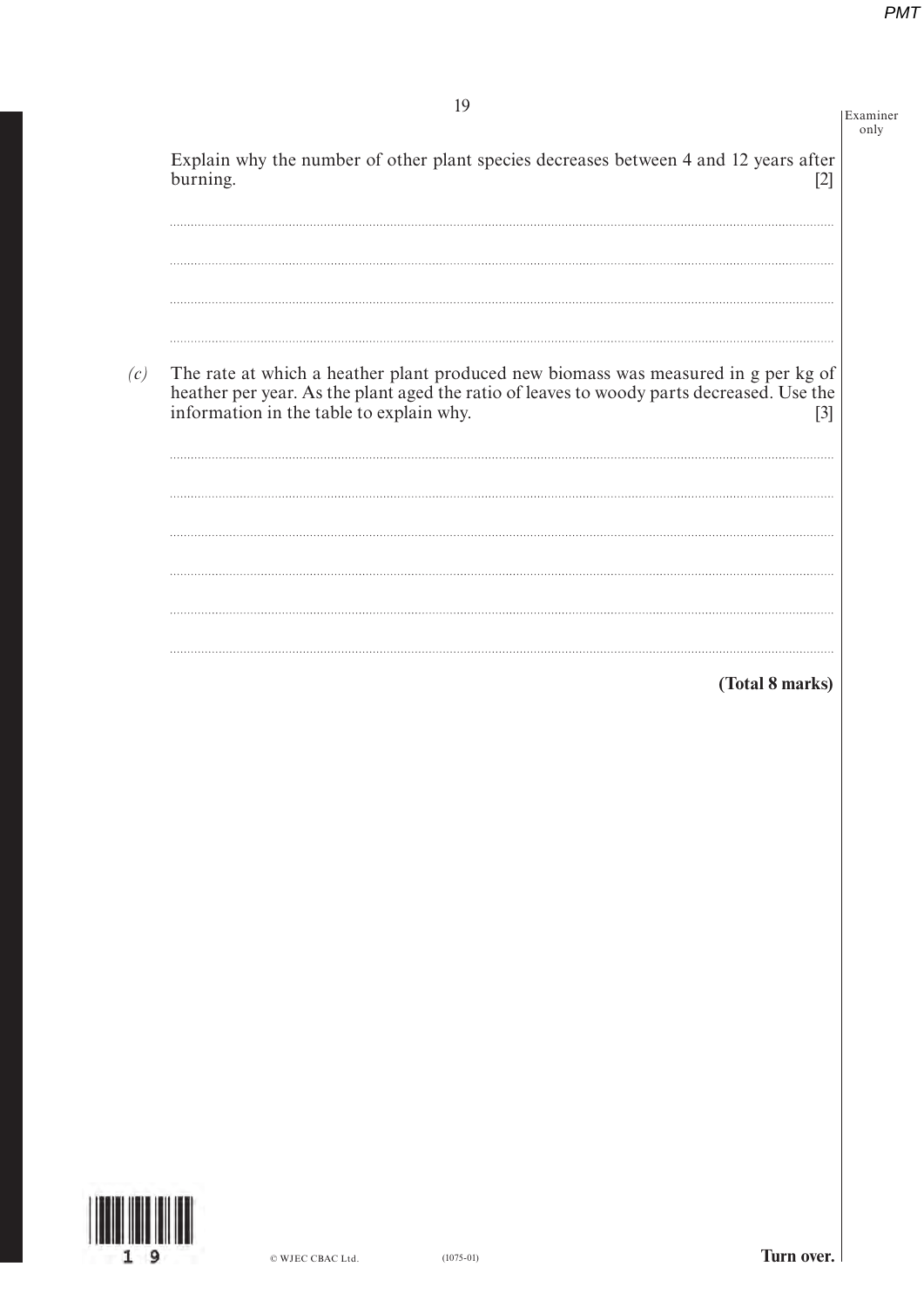only

**(Total 8 marks)**



© WJEC CBAC Ltd.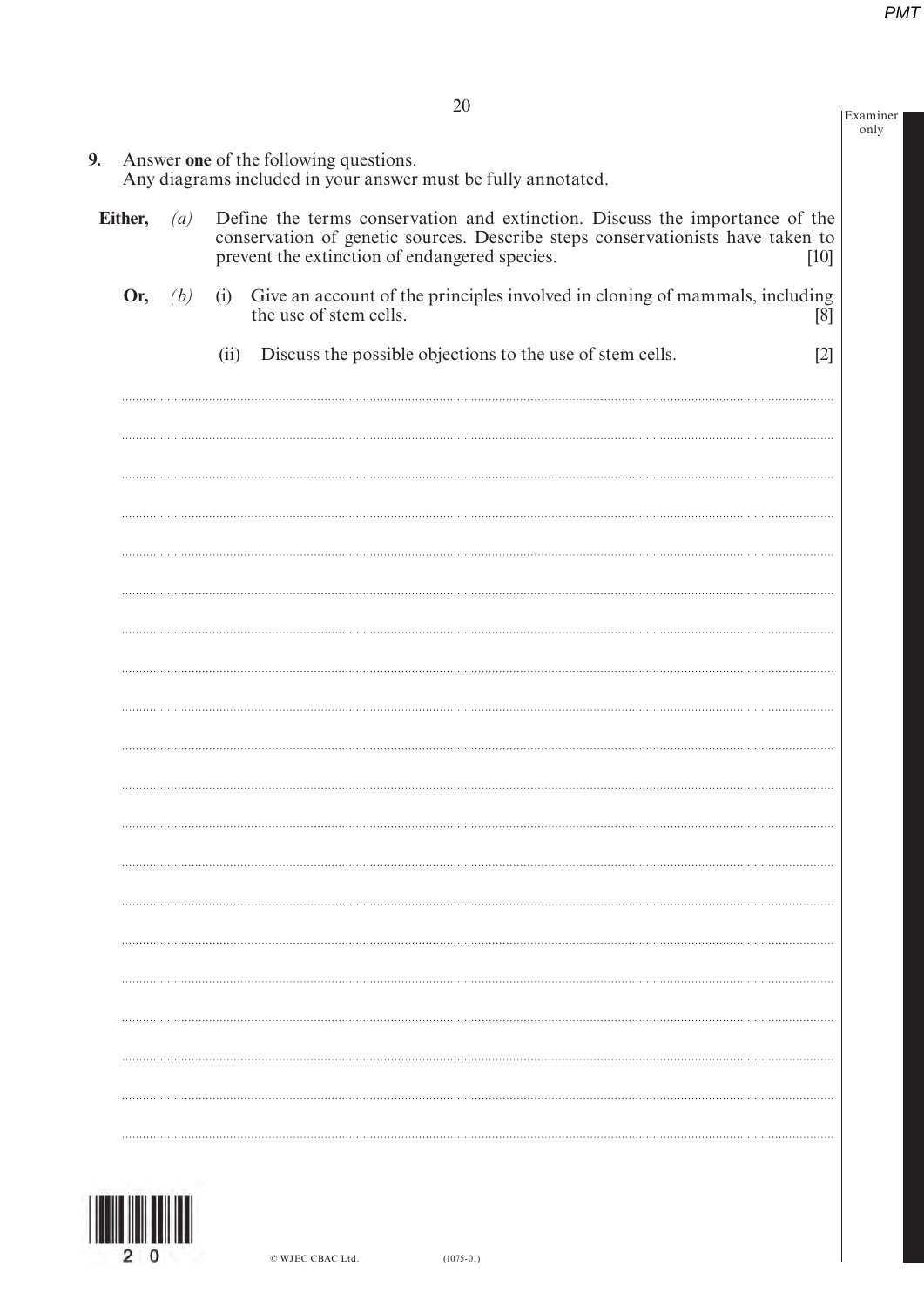|         |                   |      | 20                                                                                                                                                                                                                     | Examiner<br>only |
|---------|-------------------|------|------------------------------------------------------------------------------------------------------------------------------------------------------------------------------------------------------------------------|------------------|
|         |                   |      | Answer one of the following questions.<br>Any diagrams included in your answer must be fully annotated.                                                                                                                |                  |
|         |                   |      |                                                                                                                                                                                                                        |                  |
| Either, | $\left( a\right)$ |      | Define the terms conservation and extinction. Discuss the importance of the<br>conservation of genetic sources. Describe steps conservationists have taken to<br>prevent the extinction of endangered species.<br>[10] |                  |
| Or,     | (b)               | (i)  | Give an account of the principles involved in cloning of mammals, including<br>the use of stem cells.<br>[8]                                                                                                           |                  |
|         |                   | (ii) | Discuss the possible objections to the use of stem cells.<br>$[2]$                                                                                                                                                     |                  |
|         |                   |      |                                                                                                                                                                                                                        |                  |
|         |                   |      |                                                                                                                                                                                                                        |                  |
|         |                   |      |                                                                                                                                                                                                                        |                  |
|         |                   |      |                                                                                                                                                                                                                        |                  |
|         |                   |      |                                                                                                                                                                                                                        |                  |
|         |                   |      |                                                                                                                                                                                                                        |                  |
|         |                   |      |                                                                                                                                                                                                                        |                  |
|         |                   |      |                                                                                                                                                                                                                        |                  |
|         |                   |      |                                                                                                                                                                                                                        |                  |
|         |                   |      |                                                                                                                                                                                                                        |                  |
|         |                   |      |                                                                                                                                                                                                                        |                  |
|         |                   |      |                                                                                                                                                                                                                        |                  |
|         |                   |      |                                                                                                                                                                                                                        |                  |
|         |                   |      |                                                                                                                                                                                                                        |                  |

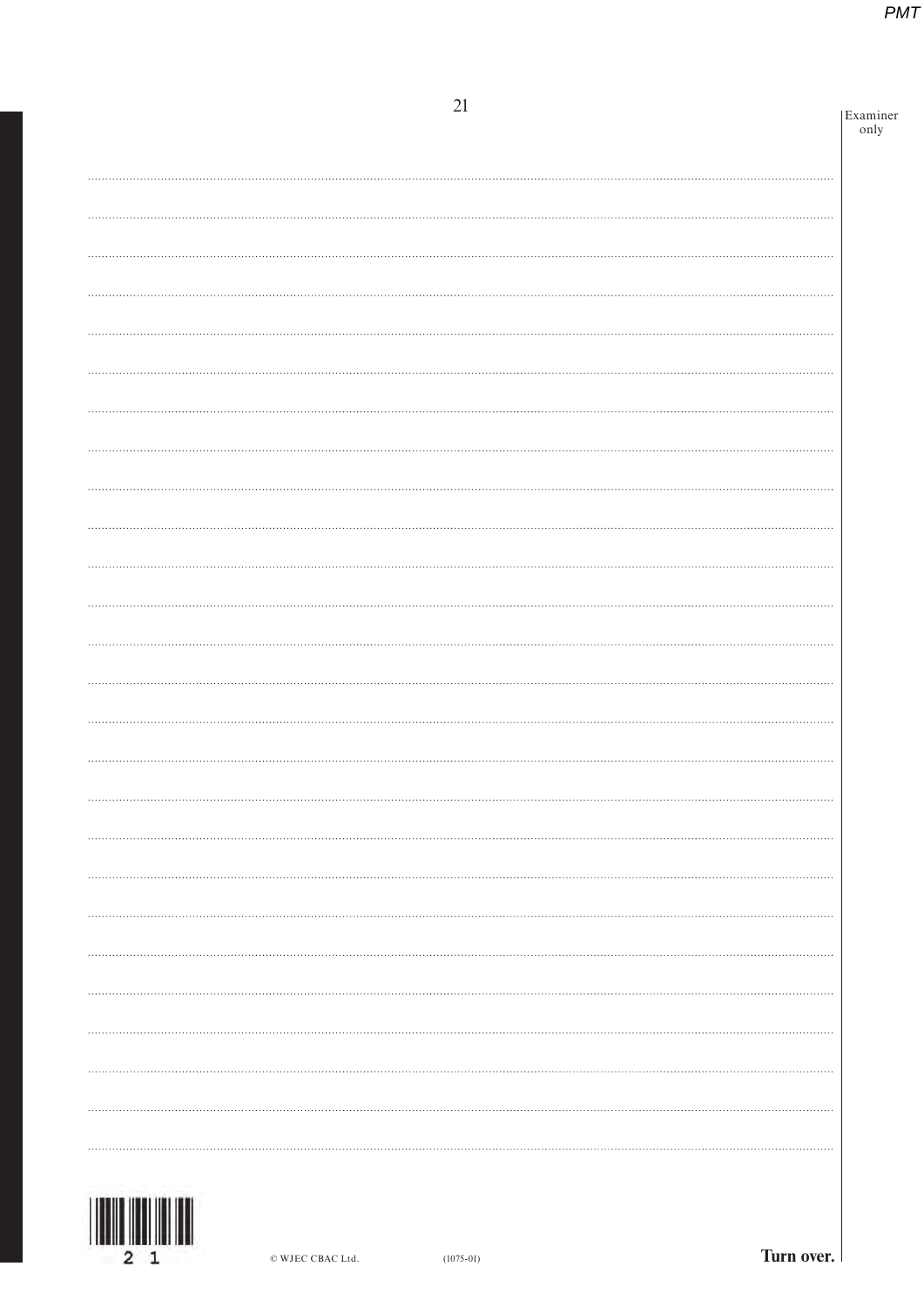|                        | 21            |            | Examiner |
|------------------------|---------------|------------|----------|
|                        |               |            | only     |
|                        |               |            |          |
|                        |               |            |          |
|                        |               |            |          |
|                        |               |            |          |
|                        |               |            |          |
|                        |               |            |          |
|                        |               |            |          |
|                        |               |            |          |
|                        |               |            |          |
|                        |               |            |          |
|                        |               |            |          |
|                        |               |            |          |
|                        |               |            |          |
|                        |               |            |          |
|                        |               |            |          |
|                        |               |            |          |
|                        |               | .          |          |
|                        |               |            |          |
|                        |               |            |          |
|                        |               |            |          |
|                        |               |            |          |
|                        |               |            |          |
|                        |               |            |          |
|                        |               |            |          |
|                        |               |            |          |
|                        |               |            |          |
|                        |               |            |          |
|                        |               |            |          |
|                        |               |            |          |
|                        |               |            |          |
|                        |               |            |          |
|                        |               |            |          |
| $\odot$ WJEC CBAC Ltd. | $(1075 - 01)$ | Turn over. |          |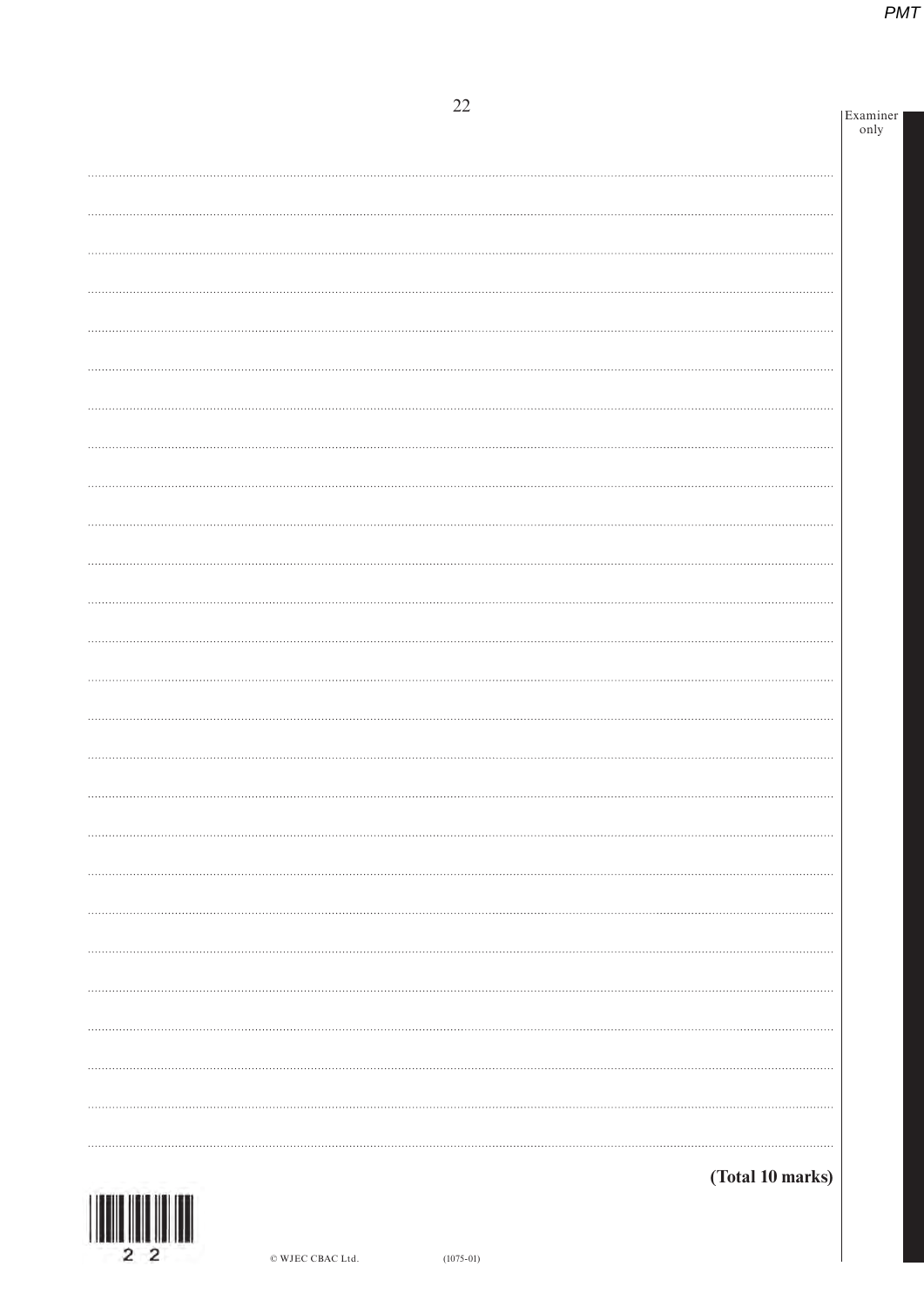| 22                       | Examiner |
|--------------------------|----------|
|                          | only     |
|                          |          |
|                          |          |
|                          |          |
|                          |          |
|                          |          |
|                          |          |
|                          |          |
|                          |          |
|                          |          |
|                          |          |
|                          |          |
|                          |          |
|                          |          |
|                          |          |
|                          |          |
|                          |          |
|                          |          |
|                          |          |
|                          |          |
|                          |          |
|                          |          |
|                          |          |
|                          |          |
|                          |          |
|                          |          |
|                          |          |
|                          |          |
|                          |          |
|                          |          |
|                          |          |
|                          |          |
| (Total 10 marks)         |          |
| <b>THE REAL PROPERTY</b> |          |

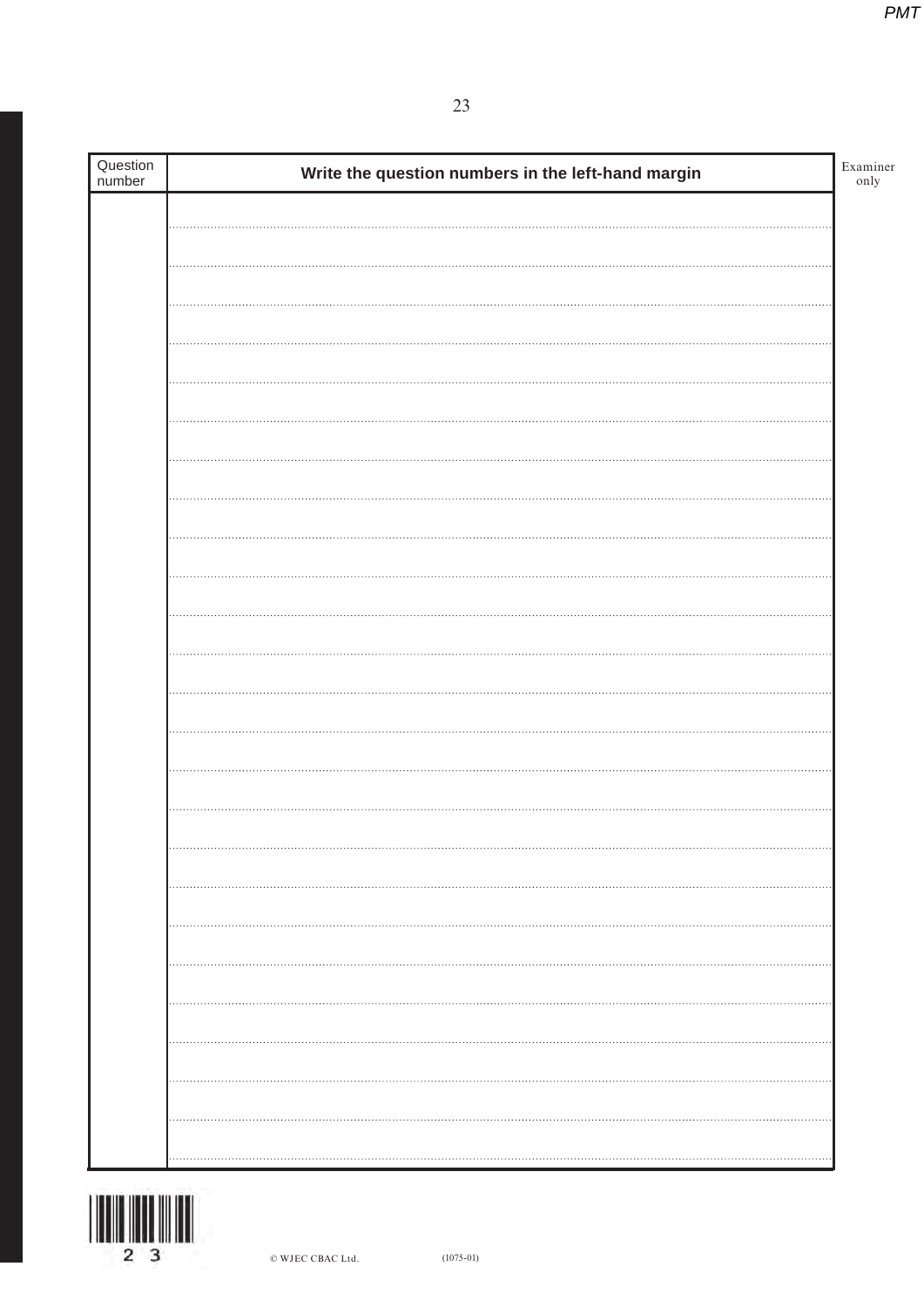| Question<br>number | Write the question numbers in the left-hand margin | Examiner<br>only |
|--------------------|----------------------------------------------------|------------------|
|                    |                                                    |                  |
|                    |                                                    |                  |
|                    |                                                    |                  |
|                    |                                                    |                  |
|                    |                                                    |                  |
|                    |                                                    |                  |
|                    |                                                    |                  |
|                    |                                                    |                  |
|                    |                                                    |                  |
|                    |                                                    |                  |
|                    |                                                    |                  |
|                    |                                                    |                  |
|                    |                                                    |                  |
|                    |                                                    |                  |
|                    |                                                    |                  |
|                    |                                                    |                  |
|                    |                                                    |                  |
|                    |                                                    |                  |
|                    |                                                    |                  |
|                    |                                                    |                  |
|                    |                                                    |                  |
|                    |                                                    |                  |
|                    |                                                    |                  |
|                    |                                                    |                  |
|                    |                                                    |                  |
|                    |                                                    |                  |
|                    |                                                    |                  |
|                    |                                                    |                  |
|                    |                                                    |                  |
|                    |                                                    |                  |
|                    |                                                    |                  |